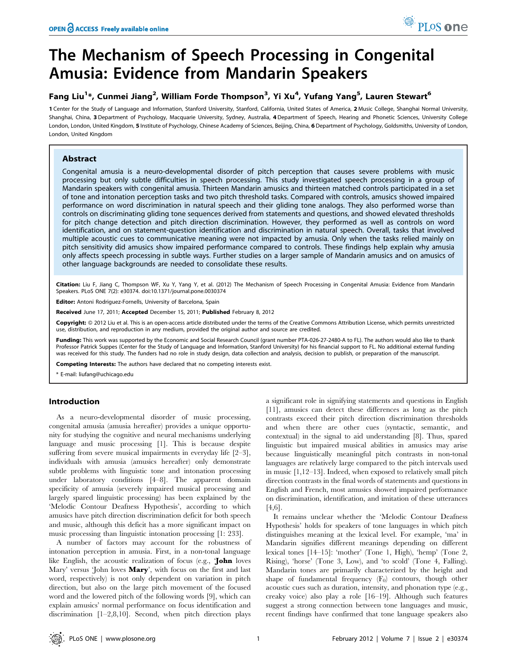# The Mechanism of Speech Processing in Congenital Amusia: Evidence from Mandarin Speakers

# Fang Liu<sup>1</sup>\*, Cunmei Jiang<sup>2</sup>, William Forde Thompson<sup>3</sup>, Yi Xu<sup>4</sup>, Yufang Yang<sup>5</sup>, Lauren Stewart<sup>6</sup>

1 Center for the Study of Language and Information, Stanford University, Stanford, California, United States of America, 2 Music College, Shanghai Normal University, Shanghai, China, 3 Department of Psychology, Macquarie University, Sydney, Australia, 4 Department of Speech, Hearing and Phonetic Sciences, University College London, London, United Kingdom, 5 Institute of Psychology, Chinese Academy of Sciences, Beijing, China, 6 Department of Psychology, Goldsmiths, University of London, London, United Kingdom

# Abstract

Congenital amusia is a neuro-developmental disorder of pitch perception that causes severe problems with music processing but only subtle difficulties in speech processing. This study investigated speech processing in a group of Mandarin speakers with congenital amusia. Thirteen Mandarin amusics and thirteen matched controls participated in a set of tone and intonation perception tasks and two pitch threshold tasks. Compared with controls, amusics showed impaired performance on word discrimination in natural speech and their gliding tone analogs. They also performed worse than controls on discriminating gliding tone sequences derived from statements and questions, and showed elevated thresholds for pitch change detection and pitch direction discrimination. However, they performed as well as controls on word identification, and on statement-question identification and discrimination in natural speech. Overall, tasks that involved multiple acoustic cues to communicative meaning were not impacted by amusia. Only when the tasks relied mainly on pitch sensitivity did amusics show impaired performance compared to controls. These findings help explain why amusia only affects speech processing in subtle ways. Further studies on a larger sample of Mandarin amusics and on amusics of other language backgrounds are needed to consolidate these results.

Citation: Liu F, Jiang C, Thompson WF, Xu Y, Yang Y, et al. (2012) The Mechanism of Speech Processing in Congenital Amusia: Evidence from Mandarin Speakers. PLoS ONE 7(2): e30374. doi:10.1371/journal.pone.0030374

Editor: Antoni Rodriguez-Fornells, University of Barcelona, Spain

Received June 17, 2011; Accepted December 15, 2011; Published February 8, 2012

Copyright: @ 2012 Liu et al. This is an open-access article distributed under the terms of the Creative Commons Attribution License, which permits unrestricted use, distribution, and reproduction in any medium, provided the original author and source are credited.

Funding: This work was supported by the Economic and Social Research Council (grant number PTA-026-27-2480-A to FL). The authors would also like to thank Professor Patrick Suppes (Center for the Study of Language and Information, Stanford University) for his financial support to FL. No additional external funding was received for this study. The funders had no role in study design, data collection and analysis, decision to publish, or preparation of the manuscript.

Competing Interests: The authors have declared that no competing interests exist.

\* E-mail: liufang@uchicago.edu

# Introduction

As a neuro-developmental disorder of music processing, congenital amusia (amusia hereafter) provides a unique opportunity for studying the cognitive and neural mechanisms underlying language and music processing [1]. This is because despite suffering from severe musical impairments in everyday life [2–3], individuals with amusia (amusics hereafter) only demonstrate subtle problems with linguistic tone and intonation processing under laboratory conditions [4–8]. The apparent domain specificity of amusia (severely impaired musical processing and largely spared linguistic processing) has been explained by the 'Melodic Contour Deafness Hypothesis', according to which amusics have pitch direction discrimination deficit for both speech and music, although this deficit has a more significant impact on music processing than linguistic intonation processing [1: 233].

A number of factors may account for the robustness of intonation perception in amusia. First, in a non-tonal language like English, the acoustic realization of focus (e.g., 'John loves Mary' versus 'John loves Mary', with focus on the first and last word, respectively) is not only dependent on variation in pitch direction, but also on the large pitch movement of the focused word and the lowered pitch of the following words [9], which can explain amusics' normal performance on focus identification and discrimination [1–2,8,10]. Second, when pitch direction plays

a significant role in signifying statements and questions in English [11], amusics can detect these differences as long as the pitch contrasts exceed their pitch direction discrimination thresholds and when there are other cues (syntactic, semantic, and contextual) in the signal to aid understanding [8]. Thus, spared linguistic but impaired musical abilities in amusics may arise because linguistically meaningful pitch contrasts in non-tonal languages are relatively large compared to the pitch intervals used in music [1,12–13]. Indeed, when exposed to relatively small pitch direction contrasts in the final words of statements and questions in English and French, most amusics showed impaired performance on discrimination, identification, and imitation of these utterances [4,6].

It remains unclear whether the 'Melodic Contour Deafness Hypothesis' holds for speakers of tone languages in which pitch distinguishes meaning at the lexical level. For example, 'ma' in Mandarin signifies different meanings depending on different lexical tones [14–15]: 'mother' (Tone 1, High), 'hemp' (Tone 2, Rising), 'horse' (Tone 3, Low), and 'to scold' (Tone 4, Falling). Mandarin tones are primarily characterized by the height and shape of fundamental frequency  $(F_0)$  contours, though other acoustic cues such as duration, intensity, and phonation type (e.g., creaky voice) also play a role [16–19]. Although such features suggest a strong connection between tone languages and music, recent findings have confirmed that tone language speakers also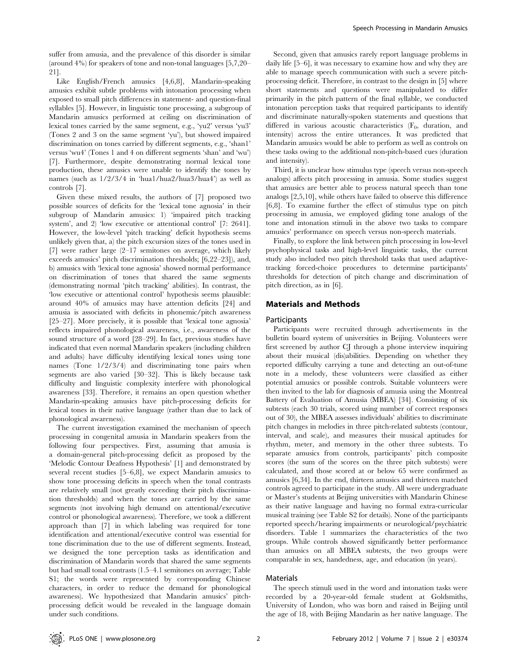suffer from amusia, and the prevalence of this disorder is similar (around 4%) for speakers of tone and non-tonal languages [5,7,20– 21].

Like English/French amusics [4,6,8], Mandarin-speaking amusics exhibit subtle problems with intonation processing when exposed to small pitch differences in statement- and question-final syllables [5]. However, in linguistic tone processing, a subgroup of Mandarin amusics performed at ceiling on discrimination of lexical tones carried by the same segment, e.g., 'yu2' versus 'yu3' (Tones 2 and 3 on the same segment 'yu'), but showed impaired discrimination on tones carried by different segments, e.g., 'shan1' versus 'wu4' (Tones 1 and 4 on different segments 'shan' and 'wu') [7]. Furthermore, despite demonstrating normal lexical tone production, these amusics were unable to identify the tones by names (such as 1/2/3/4 in 'hua1/hua2/hua3/hua4') as well as controls [7].

Given these mixed results, the authors of [7] proposed two possible sources of deficits for the 'lexical tone agnosia' in their subgroup of Mandarin amusics: 1) 'impaired pitch tracking system', and 2) 'low executive or attentional control' [7: 2641]. However, the low-level 'pitch tracking' deficit hypothesis seems unlikely given that, a) the pitch excursion sizes of the tones used in [7] were rather large (2–17 semitones on average, which likely exceeds amusics' pitch discrimination thresholds; [6,22–23]), and, b) amusics with 'lexical tone agnosia' showed normal performance on discrimination of tones that shared the same segments (demonstrating normal 'pitch tracking' abilities). In contrast, the 'low executive or attentional control' hypothesis seems plausible: around 40% of amusics may have attention deficits [24] and amusia is associated with deficits in phonemic/pitch awareness [25–27]. More precisely, it is possible that 'lexical tone agnosia' reflects impaired phonological awareness, i.e., awareness of the sound structure of a word [28–29]. In fact, previous studies have indicated that even normal Mandarin speakers (including children and adults) have difficulty identifying lexical tones using tone names (Tone 1/2/3/4) and discriminating tone pairs when segments are also varied [30–32]. This is likely because task difficulty and linguistic complexity interfere with phonological awareness [33]. Therefore, it remains an open question whether Mandarin-speaking amusics have pitch-processing deficits for lexical tones in their native language (rather than due to lack of phonological awareness).

The current investigation examined the mechanism of speech processing in congenital amusia in Mandarin speakers from the following four perspectives. First, assuming that amusia is a domain-general pitch-processing deficit as proposed by the 'Melodic Contour Deafness Hypothesis' [1] and demonstrated by several recent studies [5–6,8], we expect Mandarin amusics to show tone processing deficits in speech when the tonal contrasts are relatively small (not greatly exceeding their pitch discrimination thresholds) and when the tones are carried by the same segments (not involving high demand on attentional/executive control or phonological awareness). Therefore, we took a different approach than [7] in which labeling was required for tone identification and attentional/executive control was essential for tone discrimination due to the use of different segments. Instead, we designed the tone perception tasks as identification and discrimination of Mandarin words that shared the same segments but had small tonal contrasts (1.5–4.1 semitones on average; Table S1; the words were represented by corresponding Chinese characters, in order to reduce the demand for phonological awareness). We hypothesized that Mandarin amusics' pitchprocessing deficit would be revealed in the language domain under such conditions.

Second, given that amusics rarely report language problems in daily life [5–6], it was necessary to examine how and why they are able to manage speech communication with such a severe pitchprocessing deficit. Therefore, in contrast to the design in [5] where short statements and questions were manipulated to differ primarily in the pitch pattern of the final syllable, we conducted intonation perception tasks that required participants to identify and discriminate naturally-spoken statements and questions that differed in various acoustic characteristics  $(F_0, \text{ duration}, \text{ and})$ intensity) across the entire utterances. It was predicted that Mandarin amusics would be able to perform as well as controls on these tasks owing to the additional non-pitch-based cues (duration and intensity).

Third, it is unclear how stimulus type (speech versus non-speech analogs) affects pitch processing in amusia. Some studies suggest that amusics are better able to process natural speech than tone analogs [2,5,10], while others have failed to observe this difference [6,8]. To examine further the effect of stimulus type on pitch processing in amusia, we employed gliding tone analogs of the tone and intonation stimuli in the above two tasks to compare amusics' performance on speech versus non-speech materials.

Finally, to explore the link between pitch processing in low-level psychophysical tasks and high-level linguistic tasks, the current study also included two pitch threshold tasks that used adaptivetracking forced-choice procedures to determine participants' thresholds for detection of pitch change and discrimination of pitch direction, as in [6].

#### Materials and Methods

#### Participants

Participants were recruited through advertisements in the bulletin board system of universities in Beijing. Volunteers were first screened by author CJ through a phone interview inquiring about their musical (dis)abilities. Depending on whether they reported difficulty carrying a tune and detecting an out-of-tune note in a melody, these volunteers were classified as either potential amusics or possible controls. Suitable volunteers were then invited to the lab for diagnosis of amusia using the Montreal Battery of Evaluation of Amusia (MBEA) [34]. Consisting of six subtests (each 30 trials, scored using number of correct responses out of 30), the MBEA assesses individuals' abilities to discriminate pitch changes in melodies in three pitch-related subtests (contour, interval, and scale), and measures their musical aptitudes for rhythm, meter, and memory in the other three subtests. To separate amusics from controls, participants' pitch composite scores (the sum of the scores on the three pitch subtests) were calculated, and those scored at or below 65 were confirmed as amusics [6,34]. In the end, thirteen amusics and thirteen matched controls agreed to participate in the study. All were undergraduate or Master's students at Beijing universities with Mandarin Chinese as their native language and having no formal extra-curricular musical training (see Table S2 for details). None of the participants reported speech/hearing impairments or neurological/psychiatric disorders. Table 1 summarizes the characteristics of the two groups. While controls showed significantly better performance than amusics on all MBEA subtests, the two groups were comparable in sex, handedness, age, and education (in years).

# Materials

The speech stimuli used in the word and intonation tasks were recorded by a 20-year-old female student at Goldsmiths, University of London, who was born and raised in Beijing until the age of 18, with Beijing Mandarin as her native language. The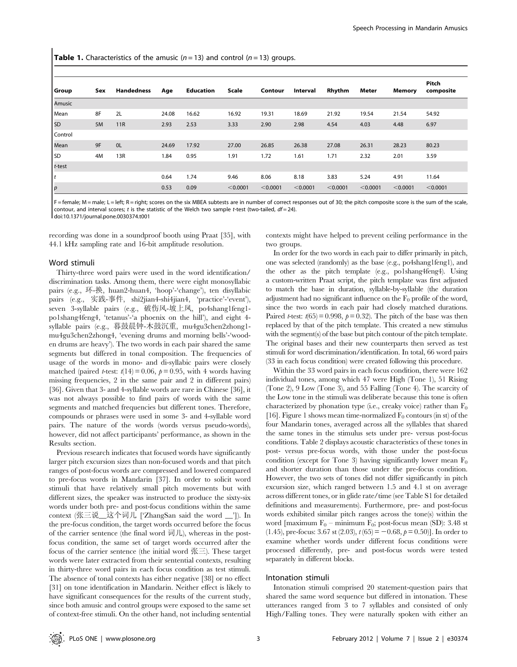**Table 1.** Characteristics of the amusic  $(n = 13)$  and control  $(n = 13)$  groups.

| Group        | Sex | <b>Handedness</b> | Age   | <b>Education</b> | Scale    | Contour  | Interval | Rhythm   | Meter    | <b>Memory</b> | Pitch<br>composite |
|--------------|-----|-------------------|-------|------------------|----------|----------|----------|----------|----------|---------------|--------------------|
| Amusic       |     |                   |       |                  |          |          |          |          |          |               |                    |
| Mean         | 8F  | 2L                | 24.08 | 16.62            | 16.92    | 19.31    | 18.69    | 21.92    | 19.54    | 21.54         | 54.92              |
| SD           | 5M  | 11R               | 2.93  | 2.53             | 3.33     | 2.90     | 2.98     | 4.54     | 4.03     | 4.48          | 6.97               |
| Control      |     |                   |       |                  |          |          |          |          |          |               |                    |
| Mean         | 9F  | 0L                | 24.69 | 17.92            | 27.00    | 26.85    | 26.38    | 27.08    | 26.31    | 28.23         | 80.23              |
| <b>SD</b>    | 4M  | 13R               | 1.84  | 0.95             | 1.91     | 1.72     | 1.61     | 1.71     | 2.32     | 2.01          | 3.59               |
| t-test       |     |                   |       |                  |          |          |          |          |          |               |                    |
| $\mathbf{r}$ |     |                   | 0.64  | 1.74             | 9.46     | 8.06     | 8.18     | 3.83     | 5.24     | 4.91          | 11.64              |
| p            |     |                   | 0.53  | 0.09             | < 0.0001 | < 0.0001 | < 0.0001 | < 0.0001 | < 0.0001 | < 0.0001      | < 0.0001           |

F = female; M = male; L = left; R = right; scores on the six MBEA subtests are in number of correct responses out of 30; the pitch composite score is the sum of the scale, contour, and interval scores; t is the statistic of the Welch two sample t-test (two-tailed,  $df = 24$ ).

doi:10.1371/journal.pone.0030374.t001

recording was done in a soundproof booth using Praat [35], with 44.1 kHz sampling rate and 16-bit amplitude resolution.

# contexts might have helped to prevent ceiling performance in the two groups.

## Word stimuli

Thirty-three word pairs were used in the word identification/ discrimination tasks. Among them, there were eight monosyllabic pairs (e.g., 环-换, huan2-huan4, 'hoop'-'change'), ten disyllabic pairs (e.g., 实践-事件, shi2jian4-shi4jian4, 'practice'-'event'), seven 3-syllable pairs (e.g., 破伤风-坡上凤, po4shang1feng1 po1shang4feng4, 'tetanus'-'a phoenix on the hill'), and eight 4 syllable pairs (e.g., 暮鼓晨钟-木鼓沉重, mu4gu3chen2zhong1 mu4gu3chen2zhong4, 'evening drums and morning bells'-'wooden drums are heavy'). The two words in each pair shared the same segments but differed in tonal composition. The frequencies of usage of the words in mono- and di-syllabic pairs were closely matched (paired *t*-test:  $t(14) = 0.06$ ,  $p = 0.95$ , with 4 words having missing frequencies, 2 in the same pair and 2 in different pairs) [36]. Given that 3- and 4-syllable words are rare in Chinese [36], it was not always possible to find pairs of words with the same segments and matched frequencies but different tones. Therefore, compounds or phrases were used in some 3- and 4-syllable word pairs. The nature of the words (words versus pseudo-words), however, did not affect participants' performance, as shown in the Results section.

Previous research indicates that focused words have significantly larger pitch excursion sizes than non-focused words and that pitch ranges of post-focus words are compressed and lowered compared to pre-focus words in Mandarin [37]. In order to solicit word stimuli that have relatively small pitch movements but with different sizes, the speaker was instructed to produce the sixty-six words under both pre- and post-focus conditions within the same context (张三说\_\_这个词儿 ['ZhangSan said the word \_\_']). In the pre-focus condition, the target words occurred before the focus of the carrier sentence (the final word 词儿), whereas in the postfocus condition, the same set of target words occurred after the focus of the carrier sentence (the initial word  $\mathcal{H}\equiv$ ). These target words were later extracted from their sentential contexts, resulting in thirty-three word pairs in each focus condition as test stimuli. The absence of tonal contexts has either negative [38] or no effect [31] on tone identification in Mandarin. Neither effect is likely to have significant consequences for the results of the current study, since both amusic and control groups were exposed to the same set of context-free stimuli. On the other hand, not including sentential

In order for the two words in each pair to differ primarily in pitch, one was selected (randomly) as the base (e.g., po4shang1feng1), and the other as the pitch template (e.g., po1shang4feng4). Using a custom-written Praat script, the pitch template was first adjusted to match the base in duration, syllable-by-syllable (the duration adjustment had no significant influence on the  $F_0$  profile of the word, since the two words in each pair had closely matched durations. Paired *t*-test:  $t(65) = 0.998$ ,  $p = 0.32$ ). The pitch of the base was then replaced by that of the pitch template. This created a new stimulus with the segment(s) of the base but pitch contour of the pitch template. The original bases and their new counterparts then served as test stimuli for word discrimination/identification. In total, 66 word pairs (33 in each focus condition) were created following this procedure.

Within the 33 word pairs in each focus condition, there were 162 individual tones, among which 47 were High (Tone 1), 51 Rising (Tone 2), 9 Low (Tone 3), and 55 Falling (Tone 4). The scarcity of the Low tone in the stimuli was deliberate because this tone is often characterized by phonation type (i.e., creaky voice) rather than  $F_0$ [16]. Figure 1 shows mean time-normalized  $F_0$  contours (in st) of the four Mandarin tones, averaged across all the syllables that shared the same tones in the stimulus sets under pre- versus post-focus conditions. Table 2 displays acoustic characteristics of these tones in post- versus pre-focus words, with those under the post-focus condition (except for Tone 3) having significantly lower mean  $F_0$ and shorter duration than those under the pre-focus condition. However, the two sets of tones did not differ significantly in pitch excursion size, which ranged between 1.5 and 4.1 st on average across different tones, or in glide rate/time (see Table S1 for detailed definitions and measurements). Furthermore, pre- and post-focus words exhibited similar pitch ranges across the tone(s) within the word [maximum  $F_0$  – minimum  $F_0$ ; post-focus mean (SD): 3.48 st (1.45), pre-focus: 3.67 st (2.03),  $t(65) = -0.68$ ,  $p = 0.50$ ]. In order to examine whether words under different focus conditions were processed differently, pre- and post-focus words were tested separately in different blocks.

#### Intonation stimuli

Intonation stimuli comprised 20 statement-question pairs that shared the same word sequence but differed in intonation. These utterances ranged from 3 to 7 syllables and consisted of only High/Falling tones. They were naturally spoken with either an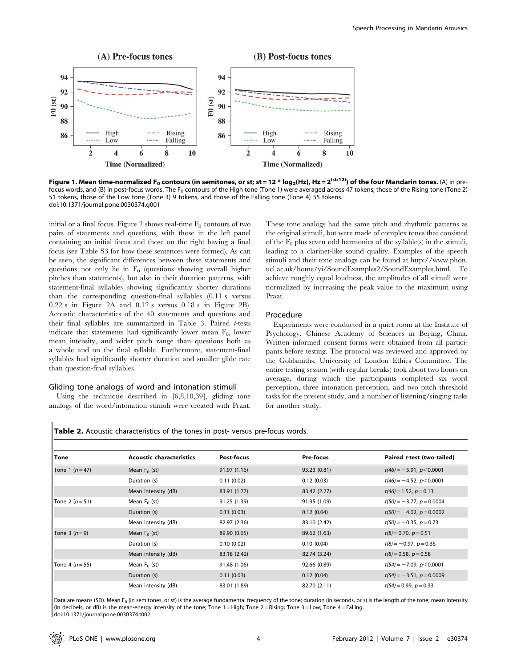

Figure 1. Mean time-normalized F<sub>0</sub> contours (in semitones, or st; st = 12 \* log<sub>2</sub>(Hz), Hz = 2<sup>(st/12)</sup>) of the four Mandarin tones. (A) in prefocus words, and (B) in post-focus words. The  $F_0$  contours of the High tone (Tone 1) were averaged across 47 tokens, those of the Rising tone (Tone 2) 51 tokens, those of the Low tone (Tone 3) 9 tokens, and those of the Falling tone (Tone 4) 55 tokens. doi:10.1371/journal.pone.0030374.g001

initial or a final focus. Figure 2 shows real-time  $F_0$  contours of two pairs of statements and questions, with those in the left panel containing an initial focus and those on the right having a final focus (see Table S3 for how these sentences were formed). As can be seen, the significant differences between these statements and questions not only lie in  $F_0$  (questions showing overall higher pitches than statements), but also in their duration patterns, with statement-final syllables showing significantly shorter durations than the corresponding question-final syllables (0.11 s versus 0.22 s in Figure 2A and 0.12 s versus 0.18 s in Figure 2B). Acoustic characteristics of the 40 statements and questions and their final syllables are summarized in Table 3. Paired t-tests indicate that statements had significantly lower mean  $F_0$ , lower mean intensity, and wider pitch range than questions both as a whole and on the final syllable. Furthermore, statement-final syllables had significantly shorter duration and smaller glide rate than question-final syllables.

## Gliding tone analogs of word and intonation stimuli

Using the technique described in [6,8,10,39], gliding tone analogs of the word/intonation stimuli were created with Praat.

These tone analogs had the same pitch and rhythmic patterns as the original stimuli, but were made of complex tones that consisted of the  $F_0$  plus seven odd harmonics of the syllable(s) in the stimuli, leading to a clarinet-like sound quality. Examples of the speech stimuli and their tone analogs can be found at http://www.phon. ucl.ac.uk/home/yi/SoundExamples2/SoundExamples.html. To achieve roughly equal loudness, the amplitudes of all stimuli were normalized by increasing the peak value to the maximum using Praat.

#### Procedure

Experiments were conducted in a quiet room at the Institute of Psychology, Chinese Academy of Sciences in Beijing, China. Written informed consent forms were obtained from all participants before testing. The protocol was reviewed and approved by the Goldsmiths, University of London Ethics Committee. The entire testing session (with regular breaks) took about two hours on average, during which the participants completed six word perception, three intonation perception, and two pitch threshold tasks for the present study, and a number of listening/singing tasks for another study.

Table 2. Acoustic characteristics of the tones in post-versus pre-focus words.

| Tone              | <b>Acoustic characteristics</b> | Post-focus   | <b>Pre-focus</b> | Paired t-test (two-tailed)     |  |  |
|-------------------|---------------------------------|--------------|------------------|--------------------------------|--|--|
| Tone 1 $(n=47)$   | Mean $F_0$ (st)                 | 91.97 (1.16) | 93.23 (0.81)     | $t(46) = -5.91, p < 0.0001$    |  |  |
|                   | Duration (s)                    | 0.11(0.02)   | 0.12(0.03)       | $t(46) = -4.52, p < 0.0001$    |  |  |
|                   | Mean intensity (dB)             | 83.91 (1.77) | 83.42 (2.27)     | $t(46) = 1.52, p = 0.13$       |  |  |
| Tone 2 $(n=51)$   | Mean $F_0$ (st)                 | 91.25 (1.39) | 91.95 (1.09)     | $t(50) = -3.77$ , $p = 0.0004$ |  |  |
|                   | Duration (s)                    | 0.11(0.03)   | 0.12(0.04)       | $t(50) = -4.02$ , $p = 0.0002$ |  |  |
|                   | Mean intensity (dB)             | 82.97 (2.36) | 83.10 (2.42)     | $t(50) = -0.35$ , $p = 0.73$   |  |  |
| Tone $3(n=9)$     | Mean $F_0$ (st)                 | 89.90 (0.65) | 89.62 (1.63)     | $t(8) = 0.70$ , $p = 0.51$     |  |  |
|                   | Duration (s)                    | 0.10(0.02)   | 0.10(0.04)       | $t(8) = -0.97$ , $p = 0.36$    |  |  |
|                   | Mean intensity (dB)             | 83.18 (2.42) | 82.74 (3.24)     | $t(8) = 0.58$ , $p = 0.58$     |  |  |
| Tone 4 $(n = 55)$ | Mean $F_0$ (st)                 | 91.48 (1.06) | 92.66 (0.89)     | $t(54) = -7.09$ , $p < 0.0001$ |  |  |
|                   | Duration (s)                    | 0.11(0.03)   | 0.12(0.04)       | $t(54) = -3.51, p = 0.0009$    |  |  |
|                   | Mean intensity (dB)             | 83.01 (1.89) | 82.70 (2.11)     | $t(54) = 0.99$ , $p = 0.33$    |  |  |

Data are means (SD). Mean  $F_0$  (in semitones, or st) is the average fundamental frequency of the tone; duration (in seconds, or s) is the length of the tone; mean intensity (in decibels, or dB) is the mean-energy intensity of the tone; Tone 1 = High; Tone 2 = Rising; Tone 3 = Low; Tone 4 = Falling. doi:10.1371/journal.pone.0030374.t002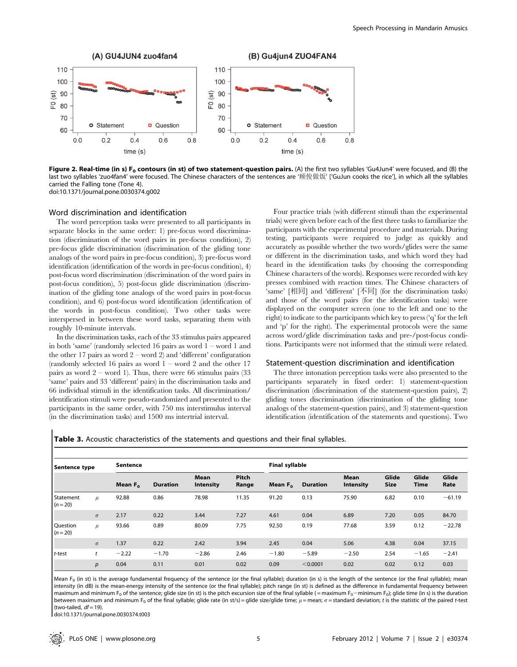

Figure 2. Real-time (in s) F<sub>0</sub> contours (in st) of two statement-question pairs. (A) the first two syllables 'Gu4Jun4' were focused, and (B) the last two syllables 'zuo4fan4' were focused. The Chinese characters of the sentences are '顾俊做饭' ['GuJun cooks the rice'], in which all the syllables carried the Falling tone (Tone 4). doi:10.1371/journal.pone.0030374.g002

#### Word discrimination and identification

The word perception tasks were presented to all participants in separate blocks in the same order: 1) pre-focus word discrimination (discrimination of the word pairs in pre-focus condition), 2) pre-focus glide discrimination (discrimination of the gliding tone analogs of the word pairs in pre-focus condition), 3) pre-focus word identification (identification of the words in pre-focus condition), 4) post-focus word discrimination (discrimination of the word pairs in post-focus condition), 5) post-focus glide discrimination (discrimination of the gliding tone analogs of the word pairs in post-focus condition), and 6) post-focus word identification (identification of the words in post-focus condition). Two other tasks were interspersed in between these word tasks, separating them with roughly 10-minute intervals.

In the discrimination tasks, each of the 33 stimulus pairs appeared in both 'same' (randomly selected 16 pairs as word 1 – word 1 and the other 17 pairs as word  $2$  – word 2) and 'different' configuration (randomly selected 16 pairs as word 1 – word 2 and the other 17 pairs as word  $2$  – word 1). Thus, there were 66 stimulus pairs (33) 'same' pairs and 33 'different' pairs) in the discrimination tasks and 66 individual stimuli in the identification tasks. All discrimination/ identification stimuli were pseudo-randomized and presented to the participants in the same order, with 750 ms interstimulus interval (in the discrimination tasks) and 1500 ms intertrial interval.

Four practice trials (with different stimuli than the experimental trials) were given before each of the first three tasks to familiarize the participants with the experimental procedure and materials. During testing, participants were required to judge as quickly and accurately as possible whether the two words/glides were the same or different in the discrimination tasks, and which word they had heard in the identification tasks (by choosing the corresponding Chinese characters of the words). Responses were recorded with key presses combined with reaction times. The Chinese characters of 'same' [相同] and 'different' [不同] (for the discrimination tasks) and those of the word pairs (for the identification tasks) were displayed on the computer screen (one to the left and one to the right) to indicate to the participants which key to press ('q' for the left and 'p' for the right). The experimental protocols were the same across word/glide discrimination tasks and pre-/post-focus conditions. Participants were not informed that the stimuli were related.

#### Statement-question discrimination and identification

The three intonation perception tasks were also presented to the participants separately in fixed order: 1) statement-question discrimination (discrimination of the statement-question pairs), 2) gliding tones discrimination (discrimination of the gliding tone analogs of the statement-question pairs), and 3) statement-question identification (identification of the statements and questions). Two

|  |  |  |  | <b>Table 3.</b> Acoustic characteristics of the statements and questions and their final syllables. |
|--|--|--|--|-----------------------------------------------------------------------------------------------------|
|--|--|--|--|-----------------------------------------------------------------------------------------------------|

| Sentence type           |          | Sentence     |                 |                          |                | <b>Final syllable</b> |                 |                          |                      |                      |               |
|-------------------------|----------|--------------|-----------------|--------------------------|----------------|-----------------------|-----------------|--------------------------|----------------------|----------------------|---------------|
|                         |          | Mean $F_{0}$ | <b>Duration</b> | Mean<br><b>Intensity</b> | Pitch<br>Range | Mean $F_{0}$          | <b>Duration</b> | Mean<br><b>Intensity</b> | Glide<br><b>Size</b> | Glide<br><b>Time</b> | Glide<br>Rate |
| Statement<br>$(n = 20)$ | $\mu$    | 92.88        | 0.86            | 78.98                    | 11.35          | 91.20                 | 0.13            | 75.90                    | 6.82                 | 0.10                 | $-61.19$      |
|                         | $\sigma$ | 2.17         | 0.22            | 3.44                     | 7.27           | 4.61                  | 0.04            | 6.89                     | 7.20                 | 0.05                 | 84.70         |
| Question<br>$(n = 20)$  | $\mu$    | 93.66        | 0.89            | 80.09                    | 7.75           | 92.50                 | 0.19            | 77.68                    | 3.59                 | 0.12                 | $-22.78$      |
|                         | $\sigma$ | 1.37         | 0.22            | 2.42                     | 3.94           | 2.45                  | 0.04            | 5.06                     | 4.38                 | 0.04                 | 37.15         |
| $t$ -test               |          | $-2.22$      | $-1.70$         | $-2.86$                  | 2.46           | $-1.80$               | $-5.89$         | $-2.50$                  | 2.54                 | $-1.65$              | $-2.41$       |
|                         | p        | 0.04         | 0.11            | 0.01                     | 0.02           | 0.09                  | < 0.0001        | 0.02                     | 0.02                 | 0.12                 | 0.03          |

Mean F<sub>0</sub> (in st) is the average fundamental frequency of the sentence (or the final syllable); duration (in s) is the length of the sentence (or the final syllable); mean intensity (in dB) is the mean-energy intensity of the sentence (or the final syllable); pitch range (in st) is defined as the difference in fundamental frequency between maximum and minimum F<sub>0</sub> of the sentence; glide size (in st) is the pitch excursion size of the final syllable (= maximum F<sub>0</sub>-minimum F<sub>0</sub>); glide time (in s) is the duration between maximum and minimum F<sub>0</sub> of the final syllable; glide rate (in st/s) = glide size/glide time;  $\mu$  = mean;  $\sigma$  = standard deviation; t is the statistic of the paired t-test (two-tailed,  $df = 19$ ).

doi:10.1371/journal.pone.0030374.t003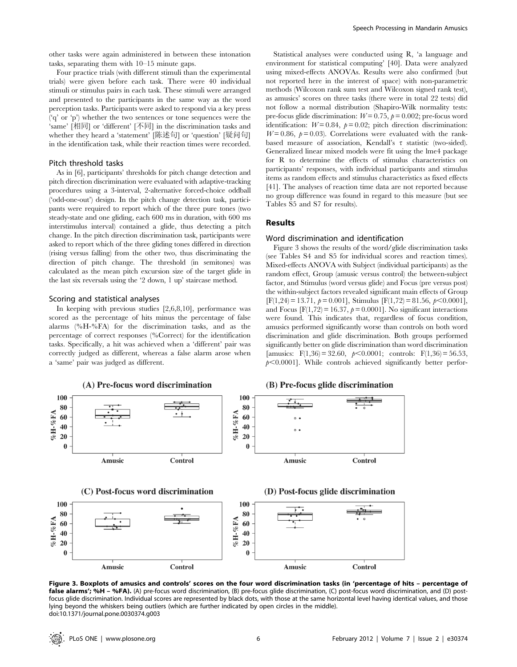other tasks were again administered in between these intonation tasks, separating them with 10–15 minute gaps.

Four practice trials (with different stimuli than the experimental trials) were given before each task. There were 40 individual stimuli or stimulus pairs in each task. These stimuli were arranged and presented to the participants in the same way as the word perception tasks. Participants were asked to respond via a key press ('q' or 'p') whether the two sentences or tone sequences were the 'same' [相同] or 'different' [不同] in the discrimination tasks and whether they heard a 'statement' [陈述句] or 'question' [疑问句] in the identification task, while their reaction times were recorded.

#### Pitch threshold tasks

As in [6], participants' thresholds for pitch change detection and pitch direction discrimination were evaluated with adaptive-tracking procedures using a 3-interval, 2-alternative forced-choice oddball ('odd-one-out') design. In the pitch change detection task, participants were required to report which of the three pure tones (two steady-state and one gliding, each 600 ms in duration, with 600 ms interstimulus interval) contained a glide, thus detecting a pitch change. In the pitch direction discrimination task, participants were asked to report which of the three gliding tones differed in direction (rising versus falling) from the other two, thus discriminating the direction of pitch change. The threshold (in semitones) was calculated as the mean pitch excursion size of the target glide in the last six reversals using the '2 down, 1 up' staircase method.

#### Scoring and statistical analyses

In keeping with previous studies [2,6,8,10], performance was scored as the percentage of hits minus the percentage of false alarms (%H-%FA) for the discrimination tasks, and as the percentage of correct responses (%Correct) for the identification tasks. Specifically, a hit was achieved when a 'different' pair was correctly judged as different, whereas a false alarm arose when a 'same' pair was judged as different.

Statistical analyses were conducted using R, 'a language and environment for statistical computing' [40]. Data were analyzed using mixed-effects ANOVAs. Results were also confirmed (but not reported here in the interest of space) with non-parametric methods (Wilcoxon rank sum test and Wilcoxon signed rank test), as amusics' scores on three tasks (there were in total 22 tests) did not follow a normal distribution (Shapiro-Wilk normality tests: pre-focus glide discrimination:  $W = 0.75$ ,  $p = 0.002$ ; pre-focus word identification:  $W = 0.84$ ,  $p = 0.02$ ; pitch direction discrimination:  $W= 0.86$ ,  $p= 0.03$ ). Correlations were evaluated with the rankbased measure of association, Kendall's  $\tau$  statistic (two-sided). Generalized linear mixed models were fit using the lme4 package for R to determine the effects of stimulus characteristics on participants' responses, with individual participants and stimulus items as random effects and stimulus characteristics as fixed effects [41]. The analyses of reaction time data are not reported because no group difference was found in regard to this measure (but see Tables S5 and S7 for results).

# Results

## Word discrimination and identification

Figure 3 shows the results of the word/glide discrimination tasks (see Tables S4 and S5 for individual scores and reaction times). Mixed-effects ANOVA with Subject (individual participants) as the random effect, Group (amusic versus control) the between-subject factor, and Stimulus (word versus glide) and Focus (pre versus post) the within-subject factors revealed significant main effects of Group  $[F(1,24) = 13.71, p = 0.001]$ , Stimulus  $[F(1,72) = 81.56, p < 0.0001]$ , and Focus  $[F(1,72) = 16.37, p = 0.0001]$ . No significant interactions were found. This indicates that, regardless of focus condition, amusics performed significantly worse than controls on both word discrimination and glide discrimination. Both groups performed significantly better on glide discrimination than word discrimination [amusics:  $F(1,36) = 32.60, \, p \le 0.0001;$  controls:  $F(1,36) = 56.53,$  $p<0.0001$ . While controls achieved significantly better perfor-



Figure 3. Boxplots of amusics and controls' scores on the four word discrimination tasks (in 'percentage of hits – percentage of false alarms'; %H – %FA). (A) pre-focus word discrimination, (B) pre-focus glide discrimination, (C) post-focus word discrimination, and (D) postfocus glide discrimination. Individual scores are represented by black dots, with those at the same horizontal level having identical values, and those lying beyond the whiskers being outliers (which are further indicated by open circles in the middle). doi:10.1371/journal.pone.0030374.g003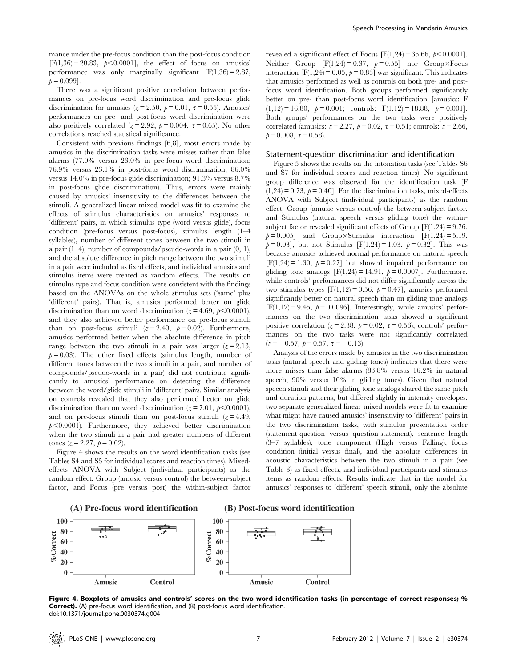mance under the pre-focus condition than the post-focus condition  $[F(1,36) = 20.83, p < 0.0001]$ , the effect of focus on amusics' performance was only marginally significant  $[F(1,36) = 2.87]$ ,  $p = 0.099$ ].

There was a significant positive correlation between performances on pre-focus word discrimination and pre-focus glide discrimination for amusics ( $z = 2.50$ ,  $p = 0.01$ ,  $\tau = 0.55$ ). Amusics' performances on pre- and post-focus word discrimination were also positively correlated ( $z = 2.92$ ,  $p = 0.004$ ,  $\tau = 0.65$ ). No other correlations reached statistical significance.

Consistent with previous findings [6,8], most errors made by amusics in the discrimination tasks were misses rather than false alarms (77.0% versus 23.0% in pre-focus word discrimination; 76.9% versus 23.1% in post-focus word discrimination; 86.0% versus 14.0% in pre-focus glide discrimination; 91.3% versus 8.7% in post-focus glide discrimination). Thus, errors were mainly caused by amusics' insensitivity to the differences between the stimuli. A generalized linear mixed model was fit to examine the effects of stimulus characteristics on amusics' responses to 'different' pairs, in which stimulus type (word versus glide), focus condition (pre-focus versus post-focus), stimulus length (1–4 syllables), number of different tones between the two stimuli in a pair (1–4), number of compounds/pseudo-words in a pair (0, 1), and the absolute difference in pitch range between the two stimuli in a pair were included as fixed effects, and individual amusics and stimulus items were treated as random effects. The results on stimulus type and focus condition were consistent with the findings based on the ANOVAs on the whole stimulus sets ('same' plus 'different' pairs). That is, amusics performed better on glide discrimination than on word discrimination ( $z = 4.69$ ,  $p < 0.0001$ ). and they also achieved better performance on pre-focus stimuli than on post-focus stimuli ( $z = 2.40$ ,  $p = 0.02$ ). Furthermore, amusics performed better when the absolute difference in pitch range between the two stimuli in a pair was larger  $(z = 2.13,$  $p=0.03$ ). The other fixed effects (stimulus length, number of different tones between the two stimuli in a pair, and number of compounds/pseudo-words in a pair) did not contribute significantly to amusics' performance on detecting the difference between the word/glide stimuli in 'different' pairs. Similar analysis on controls revealed that they also performed better on glide discrimination than on word discrimination ( $z = 7.01$ ,  $p < 0.0001$ ), and on pre-focus stimuli than on post-focus stimuli  $(z = 4.49,$  $p<0.0001$ ). Furthermore, they achieved better discrimination when the two stimuli in a pair had greater numbers of different tones ( $z = 2.27$ ,  $p = 0.02$ ).

Figure 4 shows the results on the word identification tasks (see Tables S4 and S5 for individual scores and reaction times). Mixedeffects ANOVA with Subject (individual participants) as the random effect, Group (amusic versus control) the between-subject factor, and Focus (pre versus post) the within-subject factor

(A) Pre-focus word identification

revealed a significant effect of Focus  $[F(1,24) = 35.66, p < 0.0001]$ . Neither Group  $[F(1,24) = 0.37, p = 0.55]$  nor Group×Focus interaction  $[F(1,24) = 0.05, p = 0.83]$  was significant. This indicates that amusics performed as well as controls on both pre- and postfocus word identification. Both groups performed significantly better on pre- than post-focus word identification [amusics: F  $(1,12) = 16.80, \quad p = 0.001;$  controls:  $F(1,12) = 18.88, \quad p = 0.001$ . Both groups' performances on the two tasks were positively correlated (amusics:  $z = 2.27$ ,  $p = 0.02$ ,  $\tau = 0.51$ ; controls:  $z = 2.66$ ,  $p = 0.008$ ,  $\tau = 0.58$ ).

# Statement-question discrimination and identification

Figure 5 shows the results on the intonation tasks (see Tables S6 and S7 for individual scores and reaction times). No significant group difference was observed for the identification task [F  $(1,24) = 0.73$ ,  $p = 0.40$ . For the discrimination tasks, mixed-effects ANOVA with Subject (individual participants) as the random effect, Group (amusic versus control) the between-subject factor, and Stimulus (natural speech versus gliding tone) the withinsubject factor revealed significant effects of Group  $[F(1,24) = 9.76]$ ,  $p= 0.005$ ] and Group×Stimulus interaction [F(1,24) = 5.19,  $p= 0.03$ ], but not Stimulus [F(1,24) = 1.03,  $p= 0.32$ ]. This was because amusics achieved normal performance on natural speech  $[F(1,24) = 1.30, p = 0.27]$  but showed impaired performance on gliding tone analogs  $[F(1,24) = 14.91, p = 0.0007]$ . Furthermore, while controls' performances did not differ significantly across the two stimulus types  $[F(1,12) = 0.56, p = 0.47]$ , amusics performed significantly better on natural speech than on gliding tone analogs  $[F(1,12) = 9.45, p = 0.0096]$ . Interestingly, while amusics' performances on the two discrimination tasks showed a significant positive correlation ( $z = 2.38$ ,  $p = 0.02$ ,  $\tau = 0.53$ ), controls' performances on the two tasks were not significantly correlated  $(z = -0.57, p = 0.57, \tau = -0.13).$ 

Analysis of the errors made by amusics in the two discrimination tasks (natural speech and gliding tones) indicates that there were more misses than false alarms (83.8% versus 16.2% in natural speech; 90% versus 10% in gliding tones). Given that natural speech stimuli and their gliding tone analogs shared the same pitch and duration patterns, but differed slightly in intensity envelopes, two separate generalized linear mixed models were fit to examine what might have caused amusics' insensitivity to 'different' pairs in the two discrimination tasks, with stimulus presentation order (statement-question versus question-statement), sentence length (3–7 syllables), tone component (High versus Falling), focus condition (initial versus final), and the absolute differences in acoustic characteristics between the two stimuli in a pair (see Table 3) as fixed effects, and individual participants and stimulus items as random effects. Results indicate that in the model for amusics' responses to 'different' speech stimuli, only the absolute



(B) Post-focus word identification

Figure 4. Boxplots of amusics and controls' scores on the two word identification tasks (in percentage of correct responses; % Correct). (A) pre-focus word identification, and (B) post-focus word identification. doi:10.1371/journal.pone.0030374.g004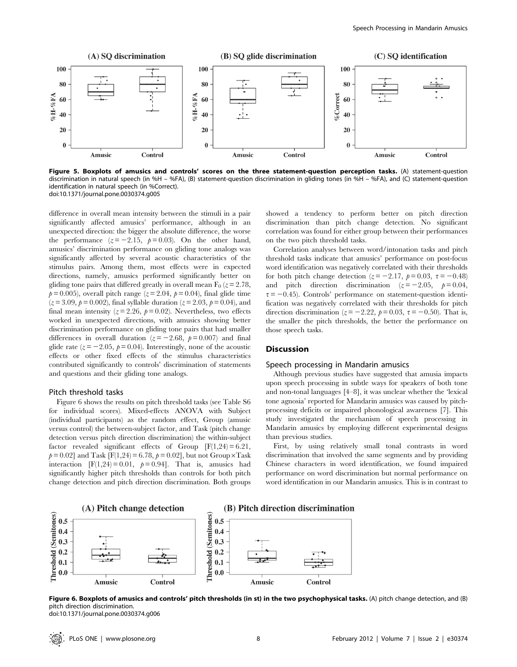

Figure 5. Boxplots of amusics and controls' scores on the three statement-question perception tasks. (A) statement-question discrimination in natural speech (in %H – %FA), (B) statement-question discrimination in gliding tones (in %H – %FA), and (C) statement-question identification in natural speech (in %Correct). doi:10.1371/journal.pone.0030374.g005

difference in overall mean intensity between the stimuli in a pair significantly affected amusics' performance, although in an unexpected direction: the bigger the absolute difference, the worse the performance  $(z = -2.15, p = 0.03)$ . On the other hand, amusics' discrimination performance on gliding tone analogs was significantly affected by several acoustic characteristics of the stimulus pairs. Among them, most effects were in expected directions, namely, amusics performed significantly better on gliding tone pairs that differed greatly in overall mean  $F_0$  ( $z = 2.78$ ,  $p = 0.005$ , overall pitch range ( $z = 2.04$ ,  $p = 0.04$ ), final glide time  $(z = 3.09, p = 0.002)$ , final syllable duration  $(z = 2.03, p = 0.04)$ , and final mean intensity ( $z = 2.26$ ,  $p = 0.02$ ). Nevertheless, two effects worked in unexpected directions, with amusics showing better discrimination performance on gliding tone pairs that had smaller differences in overall duration ( $z = -2.68$ ,  $p = 0.007$ ) and final glide rate ( $z = -2.05$ ,  $p = 0.04$ ). Interestingly, none of the acoustic effects or other fixed effects of the stimulus characteristics contributed significantly to controls' discrimination of statements and questions and their gliding tone analogs.

#### Pitch threshold tasks

Figure 6 shows the results on pitch threshold tasks (see Table S6 for individual scores). Mixed-effects ANOVA with Subject (individual participants) as the random effect, Group (amusic versus control) the between-subject factor, and Task (pitch change detection versus pitch direction discrimination) the within-subject factor revealed significant effects of Group  $[F(1,24) = 6.21]$ ,  $p = 0.02$ ] and Task [F(1,24) = 6.78,  $p = 0.02$ ], but not Group×Task interaction  $[F(1,24) = 0.01, p = 0.94]$ . That is, amusics had significantly higher pitch thresholds than controls for both pitch change detection and pitch direction discrimination. Both groups showed a tendency to perform better on pitch direction discrimination than pitch change detection. No significant correlation was found for either group between their performances on the two pitch threshold tasks.

Correlation analyses between word/intonation tasks and pitch threshold tasks indicate that amusics' performance on post-focus word identification was negatively correlated with their thresholds for both pitch change detection ( $z = -2.17$ ,  $p = 0.03$ ,  $\tau = -0.48$ ) and pitch direction discrimination ( $z = -2.05$ ,  $p = 0.04$ ,  $\tau = -0.45$ ). Controls' performance on statement-question identification was negatively correlated with their thresholds for pitch direction discrimination ( $z = -2.22$ ,  $p = 0.03$ ,  $\tau = -0.50$ ). That is, the smaller the pitch thresholds, the better the performance on those speech tasks.

# Discussion

#### Speech processing in Mandarin amusics

Although previous studies have suggested that amusia impacts upon speech processing in subtle ways for speakers of both tone and non-tonal languages [4–8], it was unclear whether the 'lexical tone agnosia' reported for Mandarin amusics was caused by pitchprocessing deficits or impaired phonological awareness [7]. This study investigated the mechanism of speech processing in Mandarin amusics by employing different experimental designs than previous studies.

First, by using relatively small tonal contrasts in word discrimination that involved the same segments and by providing Chinese characters in word identification, we found impaired performance on word discrimination but normal performance on word identification in our Mandarin amusics. This is in contrast to



Figure 6. Boxplots of amusics and controls' pitch thresholds (in st) in the two psychophysical tasks. (A) pitch change detection, and (B) pitch direction discrimination.

doi:10.1371/journal.pone.0030374.g006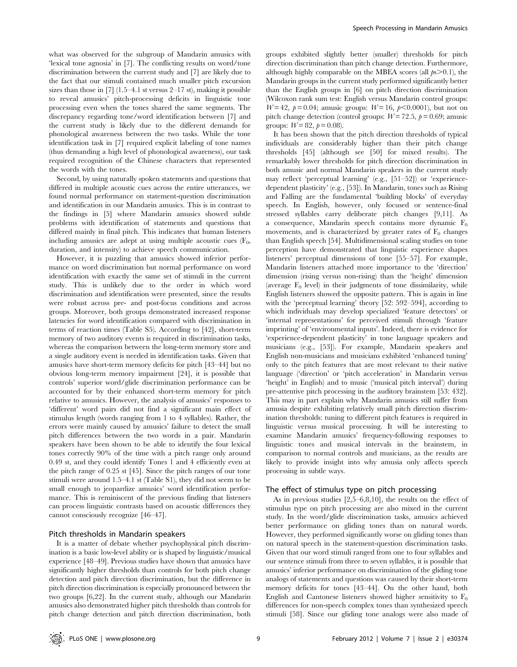what was observed for the subgroup of Mandarin amusics with 'lexical tone agnosia' in [7]. The conflicting results on word/tone discrimination between the current study and [7] are likely due to the fact that our stimuli contained much smaller pitch excursion sizes than those in [7]  $(1.5-4.1 \text{ st}$  versus  $2-17 \text{ st}$ ), making it possible to reveal amusics' pitch-processing deficits in linguistic tone processing even when the tones shared the same segments. The discrepancy regarding tone/word identification between [7] and the current study is likely due to the different demands for phonological awareness between the two tasks. While the tone identification task in [7] required explicit labeling of tone names (thus demanding a high level of phonological awareness), our task required recognition of the Chinese characters that represented the words with the tones.

Second, by using naturally spoken statements and questions that differed in multiple acoustic cues across the entire utterances, we found normal performance on statement-question discrimination and identification in our Mandarin amusics. This is in contrast to the findings in [5] where Mandarin amusics showed subtle problems with identification of statements and questions that differed mainly in final pitch. This indicates that human listeners including amusics are adept at using multiple acoustic cues  $(F_0,$ duration, and intensity) to achieve speech communication.

However, it is puzzling that amusics showed inferior performance on word discrimination but normal performance on word identification with exactly the same set of stimuli in the current study. This is unlikely due to the order in which word discrimination and identification were presented, since the results were robust across pre- and post-focus conditions and across groups. Moreover, both groups demonstrated increased response latencies for word identification compared with discrimination in terms of reaction times (Table S5). According to [42], short-term memory of two auditory events is required in discrimination tasks, whereas the comparison between the long-term memory store and a single auditory event is needed in identification tasks. Given that amusics have short-term memory deficits for pitch [43–44] but no obvious long-term memory impairment [24], it is possible that controls' superior word/glide discrimination performance can be accounted for by their enhanced short-term memory for pitch relative to amusics. However, the analysis of amusics' responses to 'different' word pairs did not find a significant main effect of stimulus length (words ranging from 1 to 4 syllables). Rather, the errors were mainly caused by amusics' failure to detect the small pitch differences between the two words in a pair. Mandarin speakers have been shown to be able to identify the four lexical tones correctly 90% of the time with a pitch range only around 0.49 st, and they could identify Tones 1 and 4 efficiently even at the pitch range of 0.25 st [45]. Since the pitch ranges of our tone stimuli were around 1.5–4.1 st (Table S1), they did not seem to be small enough to jeopardize amusics' word identification performance. This is reminiscent of the previous finding that listeners can process linguistic contrasts based on acoustic differences they cannot consciously recognize [46–47].

## Pitch thresholds in Mandarin speakers

It is a matter of debate whether psychophysical pitch discrimination is a basic low-level ability or is shaped by linguistic/musical experience [48–49]. Previous studies have shown that amusics have significantly higher thresholds than controls for both pitch change detection and pitch direction discrimination, but the difference in pitch direction discrimination is especially pronounced between the two groups [6,22]. In the current study, although our Mandarin amusics also demonstrated higher pitch thresholds than controls for pitch change detection and pitch direction discrimination, both

groups exhibited slightly better (smaller) thresholds for pitch direction discrimination than pitch change detection. Furthermore, although highly comparable on the MBEA scores (all  $ps > 0.1$ ), the Mandarin groups in the current study performed significantly better than the English groups in [6] on pitch direction discrimination (Wilcoxon rank sum test: English versus Mandarin control groups:  $W=42, p=0.04$ ; amusic groups:  $W=16, p<0.0001$ , but not on pitch change detection (control groups:  $W = 72.5$ ,  $p = 0.69$ ; amusic groups:  $W = 82$ ,  $p = 0.08$ ).

It has been shown that the pitch direction thresholds of typical individuals are considerably higher than their pitch change thresholds [45] (although see [50] for mixed results). The remarkably lower thresholds for pitch direction discrimination in both amusic and normal Mandarin speakers in the current study may reflect 'perceptual learning' (e.g., [51–52]) or 'experiencedependent plasticity' (e.g., [53]). In Mandarin, tones such as Rising and Falling are the fundamental 'building blocks' of everyday speech. In English, however, only focused or sentence-final stressed syllables carry deliberate pitch changes [9,11]. As a consequence, Mandarin speech contains more dynamic  $F_0$ movements, and is characterized by greater rates of  $F_0$  changes than English speech [54]. Multidimensional scaling studies on tone perception have demonstrated that linguistic experience shapes listeners' perceptual dimensions of tone [55–57]. For example, Mandarin listeners attached more importance to the 'direction' dimension (rising versus non-rising) than the 'height' dimension (average  $F_0$  level) in their judgments of tone dissimilarity, while English listeners showed the opposite pattern. This is again in line with the 'perceptual learning' theory [52: 592–594], according to which individuals may develop specialized 'feature detectors' or 'internal representations' for perceived stimuli through 'feature imprinting' of 'environmental inputs'. Indeed, there is evidence for 'experience-dependent plasticity' in tone language speakers and musicians (e.g., [53]). For example, Mandarin speakers and English non-musicians and musicians exhibited 'enhanced tuning' only to the pitch features that are most relevant to their native language ('direction' or 'pitch acceleration' in Mandarin versus 'height' in English) and to music ('musical pitch interval') during pre-attentive pitch processing in the auditory brainstem [53: 432]. This may in part explain why Mandarin amusics still suffer from amusia despite exhibiting relatively small pitch direction discrimination thresholds: tuning to different pitch features is required in linguistic versus musical processing. It will be interesting to examine Mandarin amusics' frequency-following responses to linguistic tones and musical intervals in the brainstem, in comparison to normal controls and musicians, as the results are likely to provide insight into why amusia only affects speech processing in subtle ways.

#### The effect of stimulus type on pitch processing

As in previous studies [2,5–6,8,10], the results on the effect of stimulus type on pitch processing are also mixed in the current study. In the word/glide discrimination tasks, amusics achieved better performance on gliding tones than on natural words. However, they performed significantly worse on gliding tones than on natural speech in the statement-question discrimination tasks. Given that our word stimuli ranged from one to four syllables and our sentence stimuli from three to seven syllables, it is possible that amusics' inferior performance on discrimination of the gliding tone analogs of statements and questions was caused by their short-term memory deficits for tones [43–44]. On the other hand, both English and Cantonese listeners showed higher sensitivity to  $F_0$ differences for non-speech complex tones than synthesized speech stimuli [58]. Since our gliding tone analogs were also made of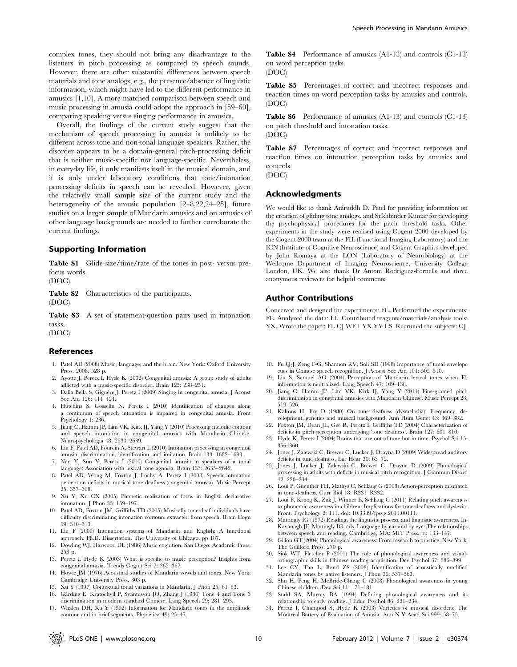complex tones, they should not bring any disadvantage to the listeners in pitch processing as compared to speech sounds. However, there are other substantial differences between speech materials and tone analogs, e.g., the presence/absence of linguistic information, which might have led to the different performance in amusics [1,10]. A more matched comparison between speech and music processing in amusia could adopt the approach in [59–60], comparing speaking versus singing performance in amusics.

Overall, the findings of the current study suggest that the mechanism of speech processing in amusia is unlikely to be different across tone and non-tonal language speakers. Rather, the disorder appears to be a domain-general pitch-processing deficit that is neither music-specific nor language-specific. Nevertheless, in everyday life, it only manifests itself in the musical domain, and it is only under laboratory conditions that tone/intonation processing deficits in speech can be revealed. However, given the relatively small sample size of the current study and the heterogeneity of the amusic population  $[2-8,22,24-25]$ , future studies on a larger sample of Mandarin amusics and on amusics of other language backgrounds are needed to further corroborate the current findings.

# Supporting Information

Table S1 Glide size/time/rate of the tones in post- versus prefocus words.

(DOC)

Table S2 Characteristics of the participants. (DOC)

Table S3 A set of statement-question pairs used in intonation tasks.

(DOC)

# References

- 1. Patel AD (2008) Music, language, and the brain. New York: Oxford University Press. 2008. 528 p.
- 2. Ayotte J, Peretz I, Hyde K (2002) Congenital amusia: A group study of adults afflicted with a music-specific disorder. Brain 125: 238–251.
- 3. Dalla Bella S, Gigue`re J, Peretz I (2009) Singing in congenital amusia. J Acoust Soc Am 126: 414–424.
- 4. Hutchins S, Gosselin N, Peretz I (2010) Identification of changes along a continuum of speech intonation is impaired in congenital amusia. Front Psychology 1: 236.
- 5. Jiang C, Hamm JP, Lim VK, Kirk IJ, Yang Y (2010) Processing melodic contour and speech intonation in congenital amusics with Mandarin Chinese. Neuropsychologia 48: 2630–2639.
- 6. Liu F, Patel AD, Fourcin A, Stewart L (2010) Intonation processing in congenital amusia: discrimination, identification, and imitation. Brain 133: 1682–1693.
- 7. Nan Y, Sun Y, Peretz I (2010) Congenital amusia in speakers of a tonal language: Association with lexical tone agnosia. Brain 133: 2635–2642.
- 8. Patel AD, Wong M, Foxton J, Lochy A, Peretz I (2008) Speech intonation perception deficits in musical tone deafness (congenital amusia). Music Percept 25: 357–368.
- 9. Xu Y, Xu CX (2005) Phonetic realization of focus in English declarative intonation. J Phon 33: 159–197.
- 10. Patel AD, Foxton JM, Griffiths TD (2005) Musically tone-deaf individuals have difficulty discriminating intonation contours extracted from speech. Brain Cogn 59: 310–313.
- 11. Liu F (2009) Intonation systems of Mandarin and English: A functional approach. Ph.D. Dissertation. The University of Chicago. pp 187.
- 12. Dowling WJ, Harwood DL (1986) Music cognition. San Diego: Academic Press. 258 p.
- 13. Peretz I, Hyde K (2003) What is specific to music perception? Insights from congenital amusia. Trends Cognit Sci 7: 362–367.
- 14. Howie JM (1976) Acoustical studies of Mandarin vowels and tones. New York: Cambridge University Press. 303 p.
- 15. Xu Y (1997) Contextual tonal variations in Mandarin. J Phon 25: 61–83.
- 16. Gårding E, Kratochvil P, Svantesson JO, Zhang J $\left( 1986\right)$  Tone 4 and Tone 3 discrimination in modern standard Chinese. Lang Speech 29: 281–293.
- 17. Whalen DH, Xu Y (1992) Information for Mandarin tones in the amplitude contour and in brief segments. Phonetica 49: 25–47.

Table S4 Performance of amusics (A1-13) and controls (C1-13) on word perception tasks. (DOC)

Table S5 Percentages of correct and incorrect responses and reaction times on word perception tasks by amusics and controls. (DOC)

Table S6 Performance of amusics (A1-13) and controls (C1-13) on pitch threshold and intonation tasks. (DOC)

Table S7 Percentages of correct and incorrect responses and reaction times on intonation perception tasks by amusics and controls.

(DOC)

# Acknowledgments

We would like to thank Aniruddh D. Patel for providing information on the creation of gliding tone analogs, and Sukhbinder Kumar for developing the psychophysical procedures for the pitch threshold tasks. Other experiments in the study were realised using Cogent 2000 developed by the Cogent 2000 team at the FIL (Functional Imaging Laboratory) and the ICN (Institute of Cognitive Neuroscience) and Cogent Graphics developed by John Romaya at the LON (Laboratory of Neurobiology) at the Wellcome Department of Imaging Neuroscience, University College London, UK. We also thank Dr Antoni Rodriguez-Fornells and three anonymous reviewers for helpful comments.

# Author Contributions

Conceived and designed the experiments: FL. Performed the experiments: FL. Analyzed the data: FL. Contributed reagents/materials/analysis tools: YX. Wrote the paper: FL CJ WFT YX YY LS. Recruited the subjects: CJ.

- 18. Fu Q-J, Zeng F-G, Shannon RV, Soli SD (1998) Importance of tonal envelope cues in Chinese speech recognition. J Acoust Soc Am 104: 505–510.
- 19. Liu S, Samuel AG (2004) Perception of Mandarin lexical tones when F0 information is neutralized. Lang Speech 47: 109–138.
- 20. Jiang C, Hamm JP, Lim VK, Kirk IJ, Yang Y (2011) Fine-grained pitch discrimination in congenital amusics with Mandarin Chinese. Music Percept 28: 519–526.
- 21. Kalmus H, Fry D (1980) On tune deafness (dysmelodia): Frequency, development, genetics and musical background. Ann Hum Genet 43: 369–382.
- 22. Foxton JM, Dean JL, Gee R, Peretz I, Griffiths TD (2004) Characterization of deficits in pitch perception underlying 'tone deafness'. Brain 127: 801–810.
- 23. Hyde K, Peretz I (2004) Brains that are out of tune but in time. Psychol Sci 15: 356–360.
- 24. Jones J, Zalewski C, Brewer C, Lucker J, Drayna D (2009) Widespread auditory deficits in tune deafness. Ear Hear 30: 63–72.
- 25. Jones J, Lucker J, Zalewski C, Brewer C, Drayna D (2009) Phonological processing in adults with deficits in musical pitch recognition. J Commun Disord 42: 226–234.
- 26. Loui P, Guenther FH, Mathys C, Schlaug G (2008) Action-perception mismatch in tone-deafness. Curr Biol 18: R331–R332.
- 27. Loui P, Kroog K, Zuk J, Winner E, Schlaug G (2011) Relating pitch awareness to phonemic awareness in children: Implications for tone-deafness and dyslexia. Front. Psychology 2: 111. doi: 10.3389/fpsyg.2011.00111.
- 28. Mattingly IG (1972) Reading, the linguistic process, and linguistic awareness. In: Kavanagh JF, Mattingly IG, eds. Language by ear and by eye: The relationships between speech and reading. Cambridge, MA: MIT Press. pp 133–147.
- 29. Gillon GT (2004) Phonological awareness: From research to practice. New York: The Guilford Press. 270 p.
- 30. Siok WT, Fletcher P  $(2001)$  The role of phonological awareness and visualorthographic skills in Chinese reading acquisition. Dev Psychol 37: 886–899.
- 31. Lee CY, Tao L, Bond ZS (2008) Identification of acoustically modified Mandarin tones by native listeners. I Phon 36: 537–563.
- 32. Shu H, Peng H, McBride-Chang C (2008) Phonological awareness in young Chinese children. Dev Sci 11: 171–181.
- 33. Stahl SA, Murray BA (1994) Defining phonological awareness and its relationship to early reading. J Educ Psychol 86: 221–234.
- 34. Peretz I, Champod S, Hyde K (2003) Varieties of musical disorders: The Montreal Battery of Evaluation of Amusia. Ann N Y Acad Sci 999: 58–75.